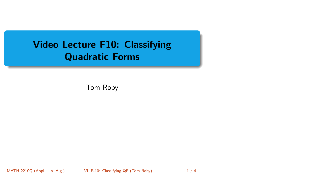# <span id="page-0-0"></span>Video Lecture F10: Classifying Quadratic Forms

Tom Roby

MATH 2210Q (Appl. Lin. Alg.) VL F-10: Classifying QF (Tom Roby) 1 / 4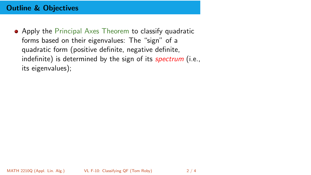### Outline & Objectives

• Apply the Principal Axes Theorem to classify quadratic forms based on their eigenvalues: The "sign" of a quadratic form (positive definite, negative definite, indefinite) is determined by the sign of its *spectrum* (i.e., its eigenvalues);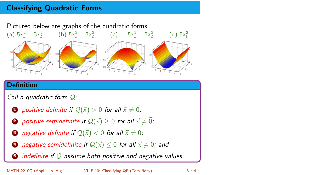## Classifying Quadratic Forms

Pictured below are graphs of the quadratic forms



#### **Definition**

Call a quadratic form  $Q$ :

- **1** positive definite if  $\mathcal{Q}(\vec{x}) > 0$  for all  $\vec{x} \neq \vec{0}$ ;
- **2** positive semidefinite if  $\mathcal{Q}(\vec{x}) \geq 0$  for all  $\vec{x} \neq \vec{0}$ ;
- **3** negative definite if  $\mathcal{Q}(\vec{x}) < 0$  for all  $\vec{x} \neq \vec{0}$ ;
- **4** negative semidefinite if  $\mathcal{Q}(\vec{x}) \leq 0$  for all  $\vec{x} \neq \vec{0}$ ; and
- $\bullet$  indefinite if Q assume both positive and negative values.